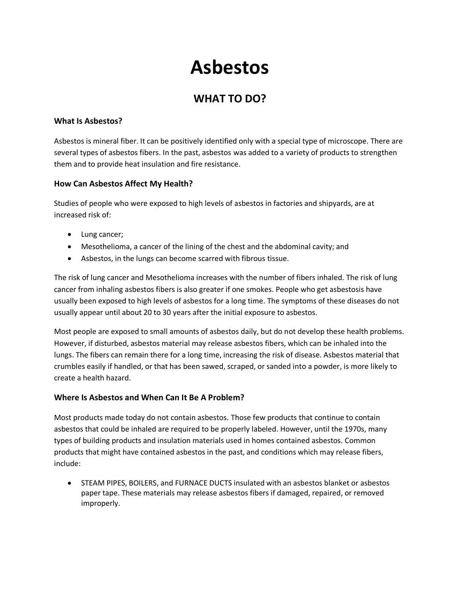# **Asbestos**

## **WHAT TO DO?**

#### **What Is Asbestos?**

Asbestos is mineral fiber. It can be positively identified only with a special type of microscope. There are several types of asbestos fibers. In the past, asbestos was added to a variety of products to strengthen them and to provide heat insulation and fire resistance.

#### **How Can Asbestos Affect My Health?**

Studies of people who were exposed to high levels of asbestos in factories and shipyards, are at increased risk of:

- Lung cancer;
- Mesothelioma, a cancer of the lining of the chest and the abdominal cavity; and
- Asbestos, in the lungs can become scarred with fibrous tissue.

The risk of lung cancer and Mesothelioma increases with the number of fibers inhaled. The risk of lung cancer from inhaling asbestos fibers is also greater if one smokes. People who get asbestosis have usually been exposed to high levels of asbestos for a long time. The symptoms of these diseases do not usually appear until about 20 to 30 years after the initial exposure to asbestos.

Most people are exposed to small amounts of asbestos daily, but do not develop these health problems. However, if disturbed, asbestos material may release asbestos fibers, which can be inhaled into the lungs. The fibers can remain there for a long time, increasing the risk of disease. Asbestos material that crumbles easily if handled, or that has been sawed, scraped, or sanded into a powder, is more likely to create a health hazard.

#### **Where Is Asbestos and When Can It Be A Problem?**

Most products made today do not contain asbestos. Those few products that continue to contain asbestos that could be inhaled are required to be properly labeled. However, until the 1970s, many types of building products and insulation materials used in homes contained asbestos. Common products that might have contained asbestos in the past, and conditions which may release fibers, include:

• STEAM PIPES, BOILERS, and FURNACE DUCTS insulated with an asbestos blanket or asbestos paper tape. These materials may release asbestos fibers if damaged, repaired, or removed improperly.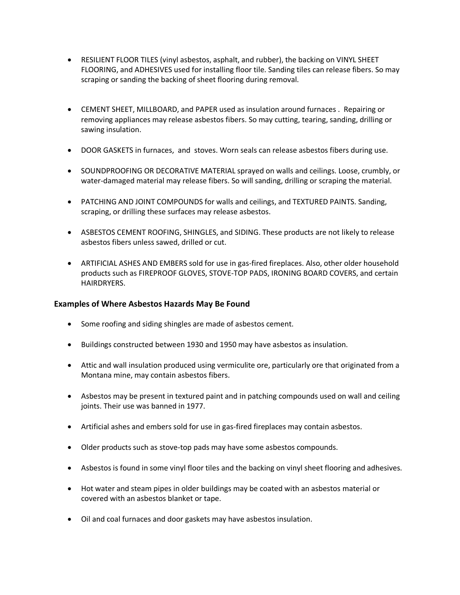- RESILIENT FLOOR TILES (vinyl asbestos, asphalt, and rubber), the backing on VINYL SHEET FLOORING, and ADHESIVES used for installing floor tile. Sanding tiles can release fibers. So may scraping or sanding the backing of sheet flooring during removal.
- CEMENT SHEET, MILLBOARD, and PAPER used as insulation around furnaces . Repairing or removing appliances may release asbestos fibers. So may cutting, tearing, sanding, drilling or sawing insulation.
- DOOR GASKETS in furnaces, and stoves. Worn seals can release asbestos fibers during use.
- SOUNDPROOFING OR DECORATIVE MATERIAL sprayed on walls and ceilings. Loose, crumbly, or water-damaged material may release fibers. So will sanding, drilling or scraping the material.
- PATCHING AND JOINT COMPOUNDS for walls and ceilings, and TEXTURED PAINTS. Sanding, scraping, or drilling these surfaces may release asbestos.
- ASBESTOS CEMENT ROOFING, SHINGLES, and SIDING. These products are not likely to release asbestos fibers unless sawed, drilled or cut.
- ARTIFICIAL ASHES AND EMBERS sold for use in gas-fired fireplaces. Also, other older household products such as FIREPROOF GLOVES, STOVE-TOP PADS, IRONING BOARD COVERS, and certain HAIRDRYERS.

#### **Examples of Where Asbestos Hazards May Be Found**

- Some roofing and siding shingles are made of asbestos cement.
- Buildings constructed between 1930 and 1950 may have asbestos as insulation.
- Attic and wall insulation produced using vermiculite ore, particularly ore that originated from a Montana mine, may contain asbestos fibers.
- Asbestos may be present in textured paint and in patching compounds used on wall and ceiling joints. Their use was banned in 1977.
- Artificial ashes and embers sold for use in gas-fired fireplaces may contain asbestos.
- Older products such as stove-top pads may have some asbestos compounds.
- Asbestos is found in some vinyl floor tiles and the backing on vinyl sheet flooring and adhesives.
- Hot water and steam pipes in older buildings may be coated with an asbestos material or covered with an asbestos blanket or tape.
- Oil and coal furnaces and door gaskets may have asbestos insulation.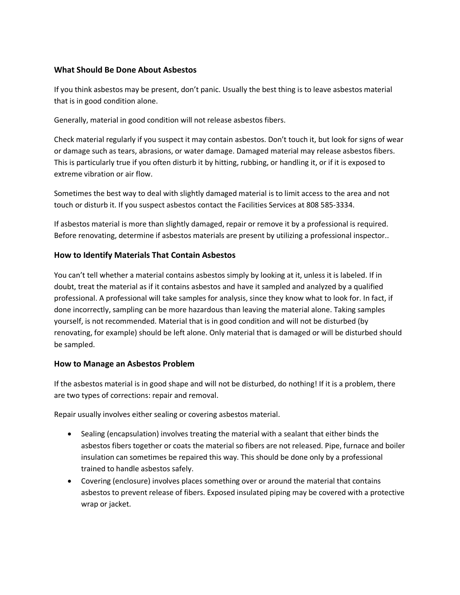#### **What Should Be Done About Asbestos**

If you think asbestos may be present, don't panic. Usually the best thing is to leave asbestos material that is in good condition alone.

Generally, material in good condition will not release asbestos fibers.

Check material regularly if you suspect it may contain asbestos. Don't touch it, but look for signs of wear or damage such as tears, abrasions, or water damage. Damaged material may release asbestos fibers. This is particularly true if you often disturb it by hitting, rubbing, or handling it, or if it is exposed to extreme vibration or air flow.

Sometimes the best way to deal with slightly damaged material is to limit access to the area and not touch or disturb it. If you suspect asbestos contact the Facilities Services at 808 585-3334.

If asbestos material is more than slightly damaged, repair or remove it by a professional is required. Before renovating, determine if asbestos materials are present by utilizing a professional inspector..

#### **How to Identify Materials That Contain Asbestos**

You can't tell whether a material contains asbestos simply by looking at it, unless it is labeled. If in doubt, treat the material as if it contains asbestos and have it sampled and analyzed by a qualified professional. A professional will take samples for analysis, since they know what to look for. In fact, if done incorrectly, sampling can be more hazardous than leaving the material alone. Taking samples yourself, is not recommended. Material that is in good condition and will not be disturbed (by renovating, for example) should be left alone. Only material that is damaged or will be disturbed should be sampled.

#### **How to Manage an Asbestos Problem**

If the asbestos material is in good shape and will not be disturbed, do nothing! If it is a problem, there are two types of corrections: repair and removal.

Repair usually involves either sealing or covering asbestos material.

- Sealing (encapsulation) involves treating the material with a sealant that either binds the asbestos fibers together or coats the material so fibers are not released. Pipe, furnace and boiler insulation can sometimes be repaired this way. This should be done only by a professional trained to handle asbestos safely.
- Covering (enclosure) involves places something over or around the material that contains asbestos to prevent release of fibers. Exposed insulated piping may be covered with a protective wrap or jacket.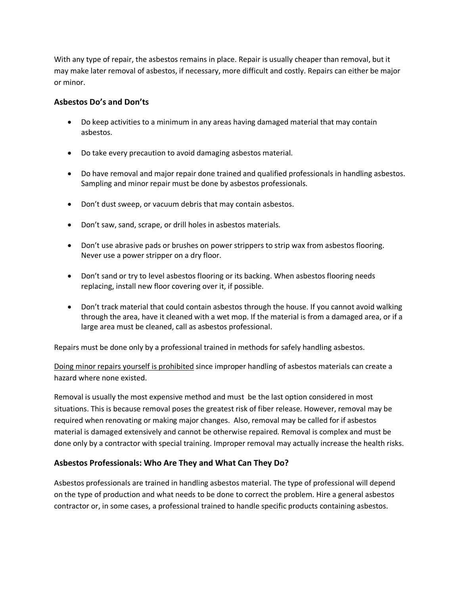With any type of repair, the asbestos remains in place. Repair is usually cheaper than removal, but it may make later removal of asbestos, if necessary, more difficult and costly. Repairs can either be major or minor.

#### **Asbestos Do's and Don'ts**

- Do keep activities to a minimum in any areas having damaged material that may contain asbestos.
- Do take every precaution to avoid damaging asbestos material.
- Do have removal and major repair done trained and qualified professionals in handling asbestos. Sampling and minor repair must be done by asbestos professionals.
- Don't dust sweep, or vacuum debris that may contain asbestos.
- Don't saw, sand, scrape, or drill holes in asbestos materials.
- Don't use abrasive pads or brushes on power strippers to strip wax from asbestos flooring. Never use a power stripper on a dry floor.
- Don't sand or try to level asbestos flooring or its backing. When asbestos flooring needs replacing, install new floor covering over it, if possible.
- Don't track material that could contain asbestos through the house. If you cannot avoid walking through the area, have it cleaned with a wet mop. If the material is from a damaged area, or if a large area must be cleaned, call as asbestos professional.

Repairs must be done only by a professional trained in methods for safely handling asbestos.

Doing minor repairs yourself is prohibited since improper handling of asbestos materials can create a hazard where none existed.

Removal is usually the most expensive method and must be the last option considered in most situations. This is because removal poses the greatest risk of fiber release. However, removal may be required when renovating or making major changes. Also, removal may be called for if asbestos material is damaged extensively and cannot be otherwise repaired. Removal is complex and must be done only by a contractor with special training. Improper removal may actually increase the health risks.

#### **Asbestos Professionals: Who Are They and What Can They Do?**

Asbestos professionals are trained in handling asbestos material. The type of professional will depend on the type of production and what needs to be done to correct the problem. Hire a general asbestos contractor or, in some cases, a professional trained to handle specific products containing asbestos.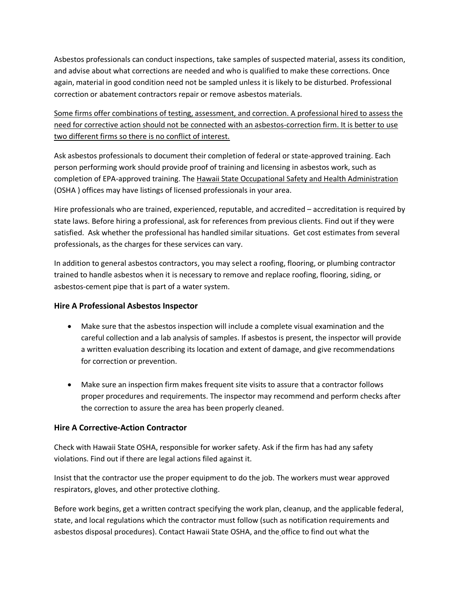Asbestos professionals can conduct inspections, take samples of suspected material, assess its condition, and advise about what corrections are needed and who is qualified to make these corrections. Once again, material in good condition need not be sampled unless it is likely to be disturbed. Professional correction or abatement contractors repair or remove asbestos materials.

Some firms offer combinations of testing, assessment, and correction. A professional hired to assess the need for corrective action should not be connected with an asbestos-correction firm. It is better to use two different firms so there is no conflict of interest.

Ask asbestos professionals to document their completion of federal or state-approved training. Each person performing work should provide proof of training and licensing in asbestos work, such as completion of EPA-approved training. The Hawaii State Occupational Safety and Health Administration (OSHA ) offices may have listings of licensed professionals in your area.

Hire professionals who are trained, experienced, reputable, and accredited – accreditation is required by state laws. Before hiring a professional, ask for references from previous clients. Find out if they were satisfied. Ask whether the professional has handled similar situations. Get cost estimates from several professionals, as the charges for these services can vary.

In addition to general asbestos contractors, you may select a roofing, flooring, or plumbing contractor trained to handle asbestos when it is necessary to remove and replace roofing, flooring, siding, or asbestos-cement pipe that is part of a water system.

#### **Hire A Professional Asbestos Inspector**

- Make sure that the asbestos inspection will include a complete visual examination and the careful collection and a lab analysis of samples. If asbestos is present, the inspector will provide a written evaluation describing its location and extent of damage, and give recommendations for correction or prevention.
- Make sure an inspection firm makes frequent site visits to assure that a contractor follows proper procedures and requirements. The inspector may recommend and perform checks after the correction to assure the area has been properly cleaned.

### **Hire A Corrective-Action Contractor**

Check with Hawaii State OSHA, responsible for worker safety. Ask if the firm has had any safety violations. Find out if there are legal actions filed against it.

Insist that the contractor use the proper equipment to do the job. The workers must wear approved respirators, gloves, and other protective clothing.

Before work begins, get a written contract specifying the work plan, cleanup, and the applicable federal, state, and local regulations which the contractor must follow (such as notification requirements and asbestos disposal procedures). Contact Hawaii State OSHA, and the office to find out what the